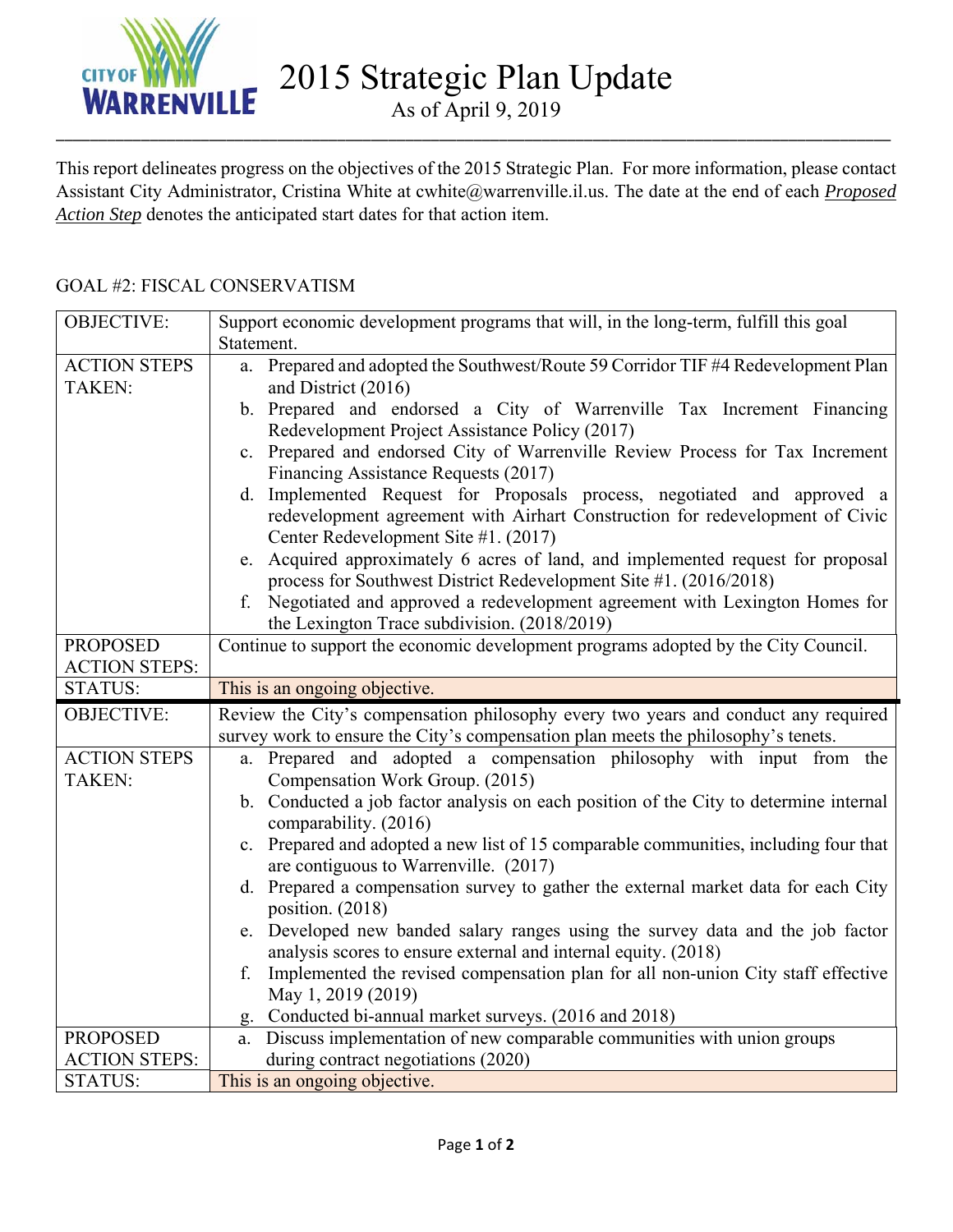

2015 Strategic Plan Update

As of April 9, 2019 \_\_\_\_\_\_\_\_\_\_\_\_\_\_\_\_\_\_\_\_\_\_\_\_\_\_\_\_\_\_\_\_\_\_\_\_\_\_\_\_\_\_\_\_\_\_\_\_\_\_\_\_\_\_\_\_\_\_\_\_\_\_\_\_\_\_\_\_\_\_\_\_\_\_\_\_\_\_\_\_\_\_\_\_\_\_\_\_\_\_\_\_\_\_\_\_\_\_

This report delineates progress on the objectives of the 2015 Strategic Plan. For more information, please contact Assistant City Administrator, Cristina White at cwhite@warrenville.il.us. The date at the end of each *Proposed Action Step* denotes the anticipated start dates for that action item.

| <b>OBJECTIVE:</b>    | Support economic development programs that will, in the long-term, fulfill this goal   |
|----------------------|----------------------------------------------------------------------------------------|
|                      | Statement.                                                                             |
| <b>ACTION STEPS</b>  | a. Prepared and adopted the Southwest/Route 59 Corridor TIF #4 Redevelopment Plan      |
| <b>TAKEN:</b>        | and District (2016)                                                                    |
|                      | b. Prepared and endorsed a City of Warrenville Tax Increment Financing                 |
|                      | Redevelopment Project Assistance Policy (2017)                                         |
|                      | c. Prepared and endorsed City of Warrenville Review Process for Tax Increment          |
|                      | Financing Assistance Requests (2017)                                                   |
|                      | d. Implemented Request for Proposals process, negotiated and approved a                |
|                      | redevelopment agreement with Airhart Construction for redevelopment of Civic           |
|                      | Center Redevelopment Site #1. (2017)                                                   |
|                      | e. Acquired approximately 6 acres of land, and implemented request for proposal        |
|                      | process for Southwest District Redevelopment Site #1. (2016/2018)                      |
|                      | f. Negotiated and approved a redevelopment agreement with Lexington Homes for          |
|                      | the Lexington Trace subdivision. (2018/2019)                                           |
| <b>PROPOSED</b>      | Continue to support the economic development programs adopted by the City Council.     |
| <b>ACTION STEPS:</b> |                                                                                        |
| <b>STATUS:</b>       | This is an ongoing objective.                                                          |
|                      |                                                                                        |
| <b>OBJECTIVE:</b>    | Review the City's compensation philosophy every two years and conduct any required     |
|                      | survey work to ensure the City's compensation plan meets the philosophy's tenets.      |
| <b>ACTION STEPS</b>  | a. Prepared and adopted a compensation philosophy with input from the                  |
| <b>TAKEN:</b>        | Compensation Work Group. (2015)                                                        |
|                      | b. Conducted a job factor analysis on each position of the City to determine internal  |
|                      | comparability. (2016)                                                                  |
|                      | c. Prepared and adopted a new list of 15 comparable communities, including four that   |
|                      | are contiguous to Warrenville. (2017)                                                  |
|                      | d. Prepared a compensation survey to gather the external market data for each City     |
|                      | position. (2018)                                                                       |
|                      | e. Developed new banded salary ranges using the survey data and the job factor         |
|                      | analysis scores to ensure external and internal equity. (2018)                         |
|                      | Implemented the revised compensation plan for all non-union City staff effective<br>f. |
|                      | May 1, 2019 (2019)                                                                     |
|                      | g. Conducted bi-annual market surveys. (2016 and 2018)                                 |
| <b>PROPOSED</b>      | a. Discuss implementation of new comparable communities with union groups              |
| <b>ACTION STEPS:</b> | during contract negotiations (2020)<br>This is an ongoing objective.                   |

## GOAL #2: FISCAL CONSERVATISM